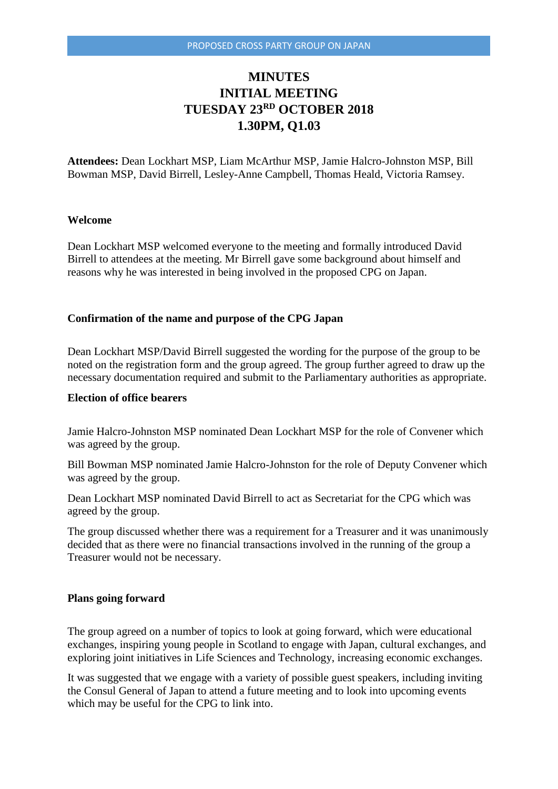# **MINUTES INITIAL MEETING TUESDAY 23RD OCTOBER 2018 1.30PM, Q1.03**

**Attendees:** Dean Lockhart MSP, Liam McArthur MSP, Jamie Halcro-Johnston MSP, Bill Bowman MSP, David Birrell, Lesley-Anne Campbell, Thomas Heald, Victoria Ramsey.

## **Welcome**

Dean Lockhart MSP welcomed everyone to the meeting and formally introduced David Birrell to attendees at the meeting. Mr Birrell gave some background about himself and reasons why he was interested in being involved in the proposed CPG on Japan.

#### **Confirmation of the name and purpose of the CPG Japan**

Dean Lockhart MSP/David Birrell suggested the wording for the purpose of the group to be noted on the registration form and the group agreed. The group further agreed to draw up the necessary documentation required and submit to the Parliamentary authorities as appropriate.

# **Election of office bearers**

Jamie Halcro-Johnston MSP nominated Dean Lockhart MSP for the role of Convener which was agreed by the group.

Bill Bowman MSP nominated Jamie Halcro-Johnston for the role of Deputy Convener which was agreed by the group.

Dean Lockhart MSP nominated David Birrell to act as Secretariat for the CPG which was agreed by the group.

The group discussed whether there was a requirement for a Treasurer and it was unanimously decided that as there were no financial transactions involved in the running of the group a Treasurer would not be necessary.

### **Plans going forward**

The group agreed on a number of topics to look at going forward, which were educational exchanges, inspiring young people in Scotland to engage with Japan, cultural exchanges, and exploring joint initiatives in Life Sciences and Technology, increasing economic exchanges.

It was suggested that we engage with a variety of possible guest speakers, including inviting the Consul General of Japan to attend a future meeting and to look into upcoming events which may be useful for the CPG to link into.